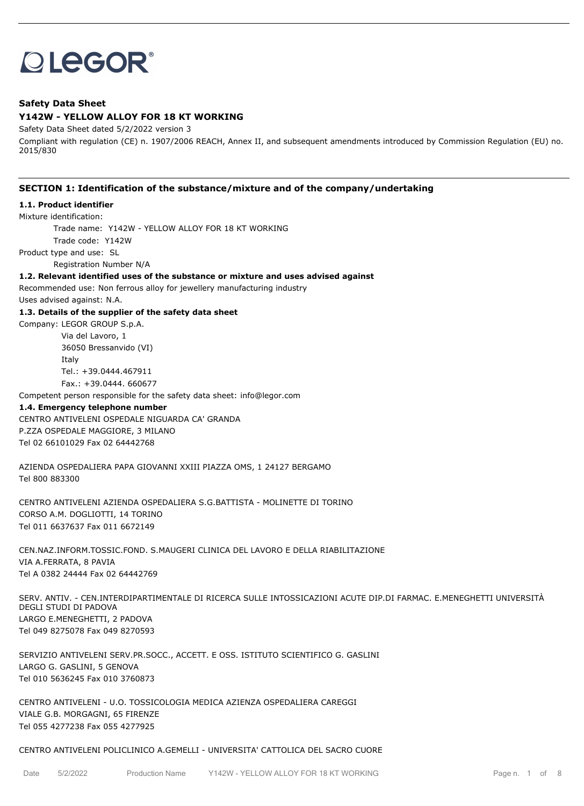# **OLEGOR®**

# **Safety Data Sheet**

# **Y142W - YELLOW ALLOY FOR 18 KT WORKING**

Safety Data Sheet dated 5/2/2022 version 3

Compliant with regulation (CE) n. 1907/2006 REACH, Annex II, and subsequent amendments introduced by Commission Regulation (EU) no. 2015/830

# **SECTION 1: Identification of the substance/mixture and of the company/undertaking**

# **1.1. Product identifier**

Mixture identification:

Trade name: Y142W - YELLOW ALLOY FOR 18 KT WORKING

Trade code: Y142W

Product type and use: SL

Registration Number N/A

## **1.2. Relevant identified uses of the substance or mixture and uses advised against**

Recommended use: Non ferrous alloy for jewellery manufacturing industry Uses advised against: N.A.

## **1.3. Details of the supplier of the safety data sheet**

Company: LEGOR GROUP S.p.A.

Via del Lavoro, 1 36050 Bressanvido (VI) Italy Tel.: +39.0444.467911 Fax.: +39.0444. 660677

Competent person responsible for the safety data sheet: info@legor.com

## **1.4. Emergency telephone number**

CENTRO ANTIVELENI OSPEDALE NIGUARDA CA' GRANDA P.ZZA OSPEDALE MAGGIORE, 3 MILANO Tel 02 66101029 Fax 02 64442768

AZIENDA OSPEDALIERA PAPA GIOVANNI XXIII PIAZZA OMS, 1 24127 BERGAMO Tel 800 883300

CENTRO ANTIVELENI AZIENDA OSPEDALIERA S.G.BATTISTA - MOLINETTE DI TORINO CORSO A.M. DOGLIOTTI, 14 TORINO Tel 011 6637637 Fax 011 6672149

CEN.NAZ.INFORM.TOSSIC.FOND. S.MAUGERI CLINICA DEL LAVORO E DELLA RIABILITAZIONE VIA A.FERRATA, 8 PAVIA Tel A 0382 24444 Fax 02 64442769

SERV. ANTIV. - CEN.INTERDIPARTIMENTALE DI RICERCA SULLE INTOSSICAZIONI ACUTE DIP.DI FARMAC. E.MENEGHETTI UNIVERSITÀ DEGLI STUDI DI PADOVA LARGO E.MENEGHETTI, 2 PADOVA Tel 049 8275078 Fax 049 8270593

SERVIZIO ANTIVELENI SERV.PR.SOCC., ACCETT. E OSS. ISTITUTO SCIENTIFICO G. GASLINI LARGO G. GASLINI, 5 GENOVA Tel 010 5636245 Fax 010 3760873

CENTRO ANTIVELENI - U.O. TOSSICOLOGIA MEDICA AZIENZA OSPEDALIERA CAREGGI VIALE G.B. MORGAGNI, 65 FIRENZE Tel 055 4277238 Fax 055 4277925

## CENTRO ANTIVELENI POLICLINICO A.GEMELLI - UNIVERSITA' CATTOLICA DEL SACRO CUORE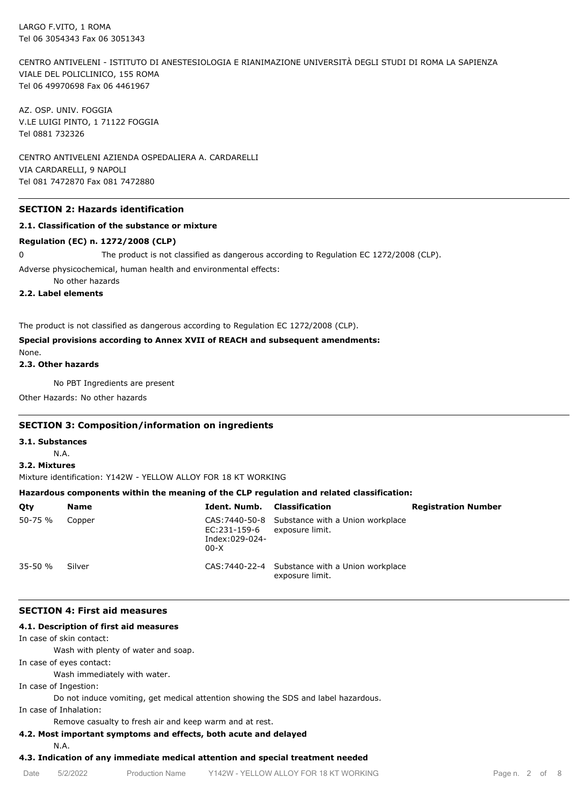CENTRO ANTIVELENI - ISTITUTO DI ANESTESIOLOGIA E RIANIMAZIONE UNIVERSITÀ DEGLI STUDI DI ROMA LA SAPIENZA VIALE DEL POLICLINICO, 155 ROMA Tel 06 49970698 Fax 06 4461967

AZ. OSP. UNIV. FOGGIA V.LE LUIGI PINTO, 1 71122 FOGGIA Tel 0881 732326

CENTRO ANTIVELENI AZIENDA OSPEDALIERA A. CARDARELLI VIA CARDARELLI, 9 NAPOLI Tel 081 7472870 Fax 081 7472880

## **SECTION 2: Hazards identification**

## **2.1. Classification of the substance or mixture**

## **Regulation (EC) n. 1272/2008 (CLP)**

0 The product is not classified as dangerous according to Regulation EC 1272/2008 (CLP).

Adverse physicochemical, human health and environmental effects:

No other hazards

# **2.2. Label elements**

The product is not classified as dangerous according to Regulation EC 1272/2008 (CLP).

# **Special provisions according to Annex XVII of REACH and subsequent amendments:**

None. **2.3. Other hazards**

No PBT Ingredients are present

Other Hazards: No other hazards

# **SECTION 3: Composition/information on ingredients**

#### **3.1. Substances**

N.A.

**3.2. Mixtures**

Mixture identification: Y142W - YELLOW ALLOY FOR 18 KT WORKING

## **Hazardous components within the meaning of the CLP regulation and related classification:**

| Qty     | <b>Name</b> | Ident. Numb.                             | Classification                                                     | <b>Registration Number</b> |
|---------|-------------|------------------------------------------|--------------------------------------------------------------------|----------------------------|
| 50-75 % | Copper      | EC:231-159-6<br>Index:029-024-<br>$00-X$ | CAS: 7440-50-8 Substance with a Union workplace<br>exposure limit. |                            |
| 35-50 % | Silver      |                                          | CAS: 7440-22-4 Substance with a Union workplace<br>exposure limit. |                            |

## **SECTION 4: First aid measures**

## **4.1. Description of first aid measures**

In case of skin contact:

Wash with plenty of water and soap.

In case of eyes contact:

Wash immediately with water.

In case of Ingestion:

Do not induce vomiting, get medical attention showing the SDS and label hazardous.

In case of Inhalation:

Remove casualty to fresh air and keep warm and at rest.

## **4.2. Most important symptoms and effects, both acute and delayed**

N.A.

# **4.3. Indication of any immediate medical attention and special treatment needed**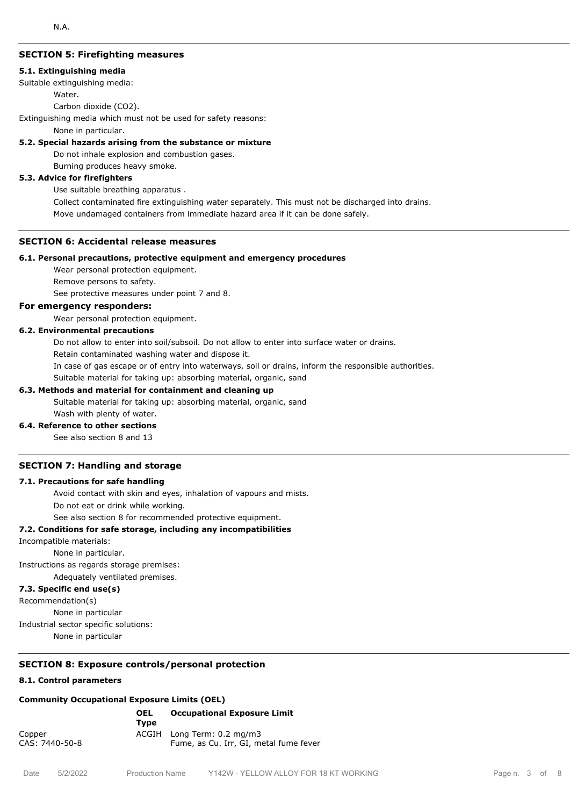## **SECTION 5: Firefighting measures**

#### **5.1. Extinguishing media**

Suitable extinguishing media:

## Water.

Carbon dioxide (CO2).

Extinguishing media which must not be used for safety reasons:

None in particular.

## **5.2. Special hazards arising from the substance or mixture**

Do not inhale explosion and combustion gases.

Burning produces heavy smoke.

# **5.3. Advice for firefighters**

Use suitable breathing apparatus .

Collect contaminated fire extinguishing water separately. This must not be discharged into drains.

Move undamaged containers from immediate hazard area if it can be done safely.

## **SECTION 6: Accidental release measures**

## **6.1. Personal precautions, protective equipment and emergency procedures**

Wear personal protection equipment.

Remove persons to safety.

See protective measures under point 7 and 8.

# **For emergency responders:**

Wear personal protection equipment.

# **6.2. Environmental precautions**

Do not allow to enter into soil/subsoil. Do not allow to enter into surface water or drains.

Retain contaminated washing water and dispose it.

In case of gas escape or of entry into waterways, soil or drains, inform the responsible authorities.

Suitable material for taking up: absorbing material, organic, sand

## **6.3. Methods and material for containment and cleaning up**

Suitable material for taking up: absorbing material, organic, sand Wash with plenty of water.

## **6.4. Reference to other sections**

See also section 8 and 13

## **SECTION 7: Handling and storage**

## **7.1. Precautions for safe handling**

Avoid contact with skin and eyes, inhalation of vapours and mists.

Do not eat or drink while working.

See also section 8 for recommended protective equipment.

## **7.2. Conditions for safe storage, including any incompatibilities**

Incompatible materials:

None in particular.

Instructions as regards storage premises:

Adequately ventilated premises.

# **7.3. Specific end use(s)**

Recommendation(s)

None in particular

Industrial sector specific solutions:

None in particular

# **SECTION 8: Exposure controls/personal protection**

# **8.1. Control parameters**

# **Community Occupational Exposure Limits (OEL)**

|                          | <b>OEL</b><br>Tvpe | <b>Occupational Exposure Limit</b>                                   |
|--------------------------|--------------------|----------------------------------------------------------------------|
| Copper<br>CAS: 7440-50-8 |                    | ACGIH Long Term: 0.2 mg/m3<br>Fume, as Cu. Irr, GI, metal fume fever |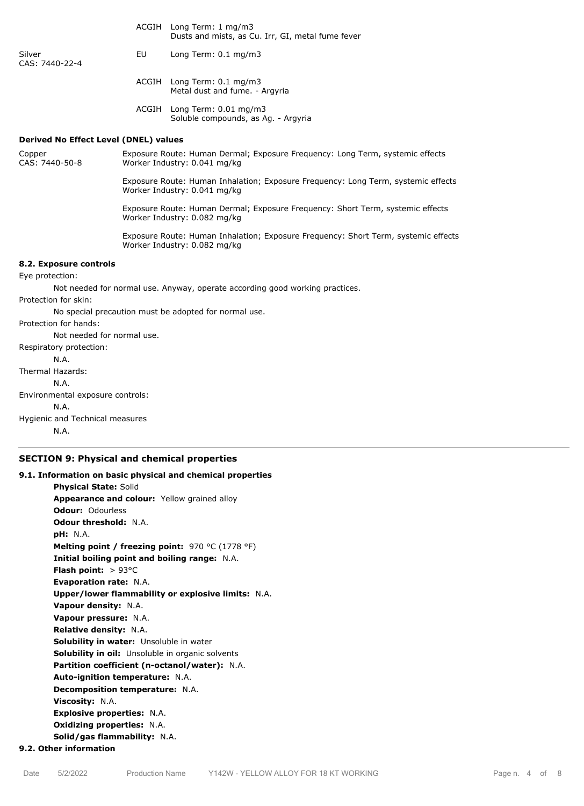|                                              |                                                                                                                    | ACGIH Long Term: 1 mg/m3<br>Dusts and mists, as Cu. Irr, GI, metal fume fever                                  |  |  |  |
|----------------------------------------------|--------------------------------------------------------------------------------------------------------------------|----------------------------------------------------------------------------------------------------------------|--|--|--|
| Silver<br>CAS: 7440-22-4                     | EU                                                                                                                 | Long Term: 0.1 mg/m3                                                                                           |  |  |  |
|                                              |                                                                                                                    | ACGIH Long Term: 0.1 mg/m3<br>Metal dust and fume. - Argyria                                                   |  |  |  |
|                                              |                                                                                                                    | ACGIH Long Term: 0.01 mg/m3<br>Soluble compounds, as Ag. - Argyria                                             |  |  |  |
| <b>Derived No Effect Level (DNEL) values</b> |                                                                                                                    |                                                                                                                |  |  |  |
| Copper<br>CAS: 7440-50-8                     | Exposure Route: Human Dermal; Exposure Frequency: Long Term, systemic effects<br>Worker Industry: 0.041 mg/kg      |                                                                                                                |  |  |  |
|                                              | Exposure Route: Human Inhalation; Exposure Frequency: Long Term, systemic effects<br>Worker Industry: 0.041 mg/kg  |                                                                                                                |  |  |  |
|                                              |                                                                                                                    | Exposure Route: Human Dermal; Exposure Frequency: Short Term, systemic effects<br>Worker Industry: 0.082 mg/kg |  |  |  |
|                                              | Exposure Route: Human Inhalation; Exposure Frequency: Short Term, systemic effects<br>Worker Industry: 0.082 mg/kg |                                                                                                                |  |  |  |
| 8.2. Exposure controls                       |                                                                                                                    |                                                                                                                |  |  |  |
| Eye protection:                              |                                                                                                                    |                                                                                                                |  |  |  |
|                                              |                                                                                                                    | Not needed for normal use. Anyway, operate according good working practices.                                   |  |  |  |
| Protection for skin:                         |                                                                                                                    |                                                                                                                |  |  |  |
|                                              |                                                                                                                    | No special precaution must be adopted for normal use.                                                          |  |  |  |
| Protection for hands:                        |                                                                                                                    |                                                                                                                |  |  |  |
| Not needed for normal use.                   |                                                                                                                    |                                                                                                                |  |  |  |
| Respiratory protection:                      |                                                                                                                    |                                                                                                                |  |  |  |
| N.A.                                         |                                                                                                                    |                                                                                                                |  |  |  |
| Thermal Hazards:                             |                                                                                                                    |                                                                                                                |  |  |  |
| N.A.                                         |                                                                                                                    |                                                                                                                |  |  |  |
| Environmental exposure controls:<br>N.A.     |                                                                                                                    |                                                                                                                |  |  |  |
| Hygienic and Technical measures              |                                                                                                                    |                                                                                                                |  |  |  |
| N.A.                                         |                                                                                                                    |                                                                                                                |  |  |  |

## **SECTION 9: Physical and chemical properties**

**9.1. Information on basic physical and chemical properties Physical State:** Solid

**Appearance and colour:** Yellow grained alloy **Odour:** Odourless **Odour threshold:** N.A. **pH:** N.A. **Melting point / freezing point:** 970 °C (1778 °F) **Initial boiling point and boiling range:** N.A. **Flash point:** > 93°C **Evaporation rate:** N.A. **Upper/lower flammability or explosive limits:** N.A. **Vapour density:** N.A. **Vapour pressure:** N.A. **Relative density:** N.A. **Solubility in water:** Unsoluble in water **Solubility in oil:** Unsoluble in organic solvents **Partition coefficient (n-octanol/water):** N.A. **Auto-ignition temperature:** N.A. **Decomposition temperature:** N.A. **Viscosity:** N.A. **Explosive properties:** N.A. **Oxidizing properties:** N.A. **Solid/gas flammability:** N.A. **9.2. Other information**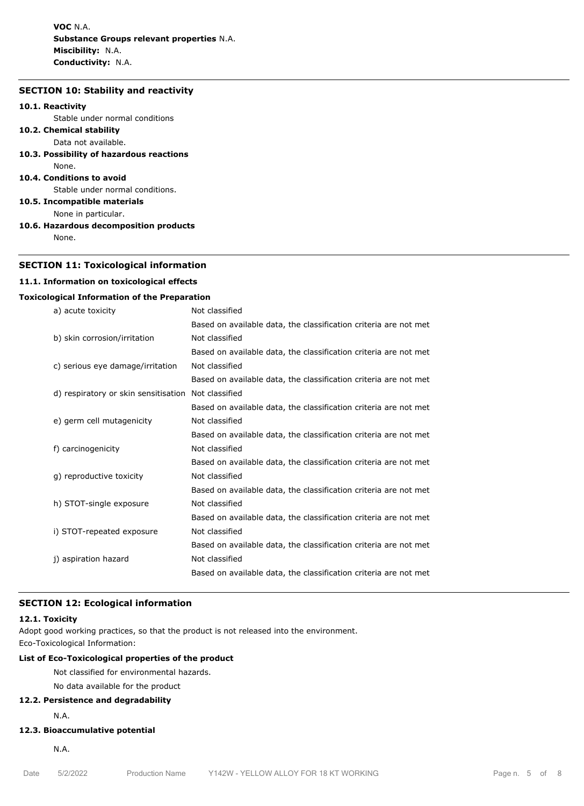**VOC** N.A. **Substance Groups relevant properties** N.A. **Miscibility:** N.A. **Conductivity:** N.A.

# **SECTION 10: Stability and reactivity**

## **10.1. Reactivity**

Stable under normal conditions

- **10.2. Chemical stability** Data not available.
- **10.3. Possibility of hazardous reactions**
- None.
- **10.4. Conditions to avoid**

Stable under normal conditions.

**10.5. Incompatible materials**

- None in particular.
- **10.6. Hazardous decomposition products** None.

## **SECTION 11: Toxicological information**

## **11.1. Information on toxicological effects**

## **Toxicological Information of the Preparation**

| a) acute toxicity                    | Not classified                                                   |
|--------------------------------------|------------------------------------------------------------------|
|                                      | Based on available data, the classification criteria are not met |
| b) skin corrosion/irritation         | Not classified                                                   |
|                                      | Based on available data, the classification criteria are not met |
| c) serious eye damage/irritation     | Not classified                                                   |
|                                      | Based on available data, the classification criteria are not met |
| d) respiratory or skin sensitisation | Not classified                                                   |
|                                      | Based on available data, the classification criteria are not met |
| e) germ cell mutagenicity            | Not classified                                                   |
|                                      | Based on available data, the classification criteria are not met |
| f) carcinogenicity                   | Not classified                                                   |
|                                      | Based on available data, the classification criteria are not met |
| g) reproductive toxicity             | Not classified                                                   |
|                                      | Based on available data, the classification criteria are not met |
| h) STOT-single exposure              | Not classified                                                   |
|                                      | Based on available data, the classification criteria are not met |
| i) STOT-repeated exposure            | Not classified                                                   |
|                                      | Based on available data, the classification criteria are not met |
| j) aspiration hazard                 | Not classified                                                   |
|                                      | Based on available data, the classification criteria are not met |
|                                      |                                                                  |

## **SECTION 12: Ecological information**

#### **12.1. Toxicity**

Adopt good working practices, so that the product is not released into the environment.

Eco-Toxicological Information:

# **List of Eco-Toxicological properties of the product**

Not classified for environmental hazards.

# No data available for the product

**12.2. Persistence and degradability**

N.A.

# **12.3. Bioaccumulative potential**

N.A.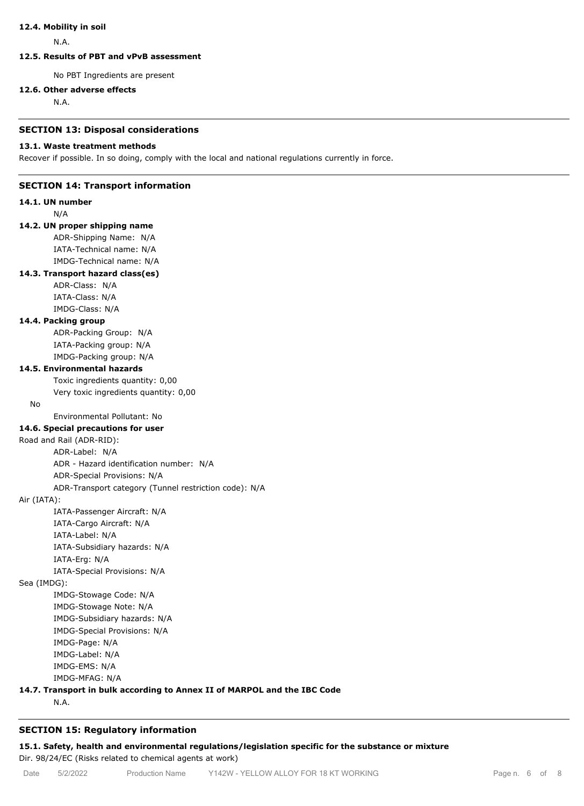## **12.4. Mobility in soil**

N.A.

# **12.5. Results of PBT and vPvB assessment**

No PBT Ingredients are present

## **12.6. Other adverse effects**

N.A.

## **SECTION 13: Disposal considerations**

#### **13.1. Waste treatment methods**

Recover if possible. In so doing, comply with the local and national regulations currently in force.

## **SECTION 14: Transport information**

**14.1. UN number**

N/A

# **14.2. UN proper shipping name**

ADR-Shipping Name: N/A IATA-Technical name: N/A IMDG-Technical name: N/A

# **14.3. Transport hazard class(es)**

ADR-Class: N/A IATA-Class: N/A IMDG-Class: N/A

## **14.4. Packing group**

ADR-Packing Group: N/A IATA-Packing group: N/A IMDG-Packing group: N/A

## **14.5. Environmental hazards**

Toxic ingredients quantity: 0,00

Very toxic ingredients quantity: 0,00

No

Environmental Pollutant: No

# **14.6. Special precautions for user**

Road and Rail (ADR-RID):

ADR-Label: N/A ADR - Hazard identification number: N/A

ADR-Special Provisions: N/A

ADR-Transport category (Tunnel restriction code): N/A

## Air (IATA):

IATA-Passenger Aircraft: N/A IATA-Cargo Aircraft: N/A IATA-Label: N/A IATA-Subsidiary hazards: N/A IATA-Erg: N/A IATA-Special Provisions: N/A

Sea (IMDG):

IMDG-Stowage Code: N/A IMDG-Stowage Note: N/A IMDG-Subsidiary hazards: N/A IMDG-Special Provisions: N/A IMDG-Page: N/A IMDG-Label: N/A IMDG-EMS: N/A IMDG-MFAG: N/A

# **14.7. Transport in bulk according to Annex II of MARPOL and the IBC Code**

N.A.

# **SECTION 15: Regulatory information**

**15.1. Safety, health and environmental regulations/legislation specific for the substance or mixture** Dir. 98/24/EC (Risks related to chemical agents at work)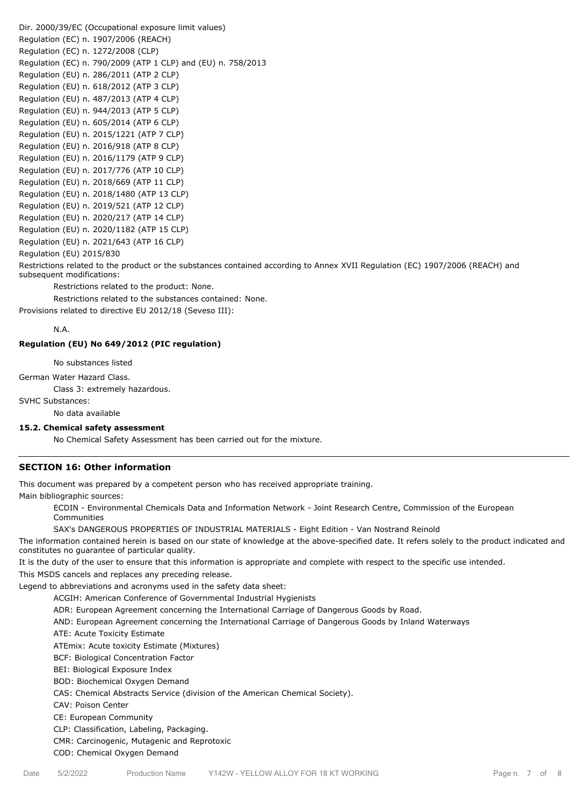Dir. 2000/39/EC (Occupational exposure limit values) Regulation (EC) n. 1907/2006 (REACH) Regulation (EC) n. 1272/2008 (CLP) Regulation (EC) n. 790/2009 (ATP 1 CLP) and (EU) n. 758/2013 Regulation (EU) n. 286/2011 (ATP 2 CLP) Regulation (EU) n. 618/2012 (ATP 3 CLP) Regulation (EU) n. 487/2013 (ATP 4 CLP) Regulation (EU) n. 944/2013 (ATP 5 CLP) Regulation (EU) n. 605/2014 (ATP 6 CLP) Regulation (EU) n. 2015/1221 (ATP 7 CLP) Regulation (EU) n. 2016/918 (ATP 8 CLP) Regulation (EU) n. 2016/1179 (ATP 9 CLP) Regulation (EU) n. 2017/776 (ATP 10 CLP) Regulation (EU) n. 2018/669 (ATP 11 CLP) Regulation (EU) n. 2018/1480 (ATP 13 CLP) Regulation (EU) n. 2019/521 (ATP 12 CLP) Regulation (EU) n. 2020/217 (ATP 14 CLP) Regulation (EU) n. 2020/1182 (ATP 15 CLP) Regulation (EU) n. 2021/643 (ATP 16 CLP) Regulation (EU) 2015/830

Restrictions related to the product or the substances contained according to Annex XVII Regulation (EC) 1907/2006 (REACH) and subsequent modifications:

Restrictions related to the product: None.

Restrictions related to the substances contained: None.

Provisions related to directive EU 2012/18 (Seveso III):

N.A.

#### **Regulation (EU) No 649/2012 (PIC regulation)**

No substances listed

German Water Hazard Class.

Class 3: extremely hazardous.

SVHC Substances:

No data available

## **15.2. Chemical safety assessment**

No Chemical Safety Assessment has been carried out for the mixture.

## **SECTION 16: Other information**

This document was prepared by a competent person who has received appropriate training.

Main bibliographic sources:

ECDIN - Environmental Chemicals Data and Information Network - Joint Research Centre, Commission of the European Communities

SAX's DANGEROUS PROPERTIES OF INDUSTRIAL MATERIALS - Eight Edition - Van Nostrand Reinold

The information contained herein is based on our state of knowledge at the above-specified date. It refers solely to the product indicated and constitutes no guarantee of particular quality.

It is the duty of the user to ensure that this information is appropriate and complete with respect to the specific use intended.

This MSDS cancels and replaces any preceding release.

Legend to abbreviations and acronyms used in the safety data sheet:

ACGIH: American Conference of Governmental Industrial Hygienists

ADR: European Agreement concerning the International Carriage of Dangerous Goods by Road.

AND: European Agreement concerning the International Carriage of Dangerous Goods by Inland Waterways

ATE: Acute Toxicity Estimate

ATEmix: Acute toxicity Estimate (Mixtures)

BCF: Biological Concentration Factor

BEI: Biological Exposure Index

BOD: Biochemical Oxygen Demand

CAS: Chemical Abstracts Service (division of the American Chemical Society).

CAV: Poison Center

CE: European Community

CLP: Classification, Labeling, Packaging.

CMR: Carcinogenic, Mutagenic and Reprotoxic

COD: Chemical Oxygen Demand